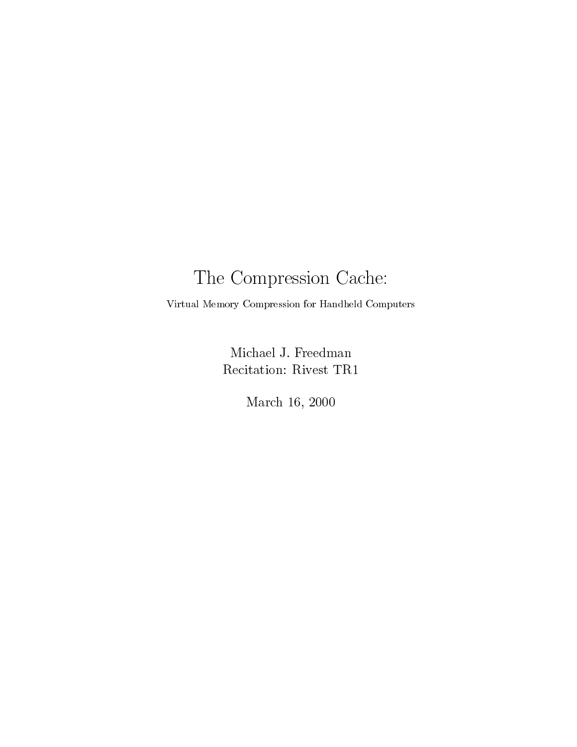# The Compression Cache:

Virtual Memory Compression for Handheld Computers

Michael J. Freedman Recitation: Rivest TR1

March 16, <sup>2000</sup>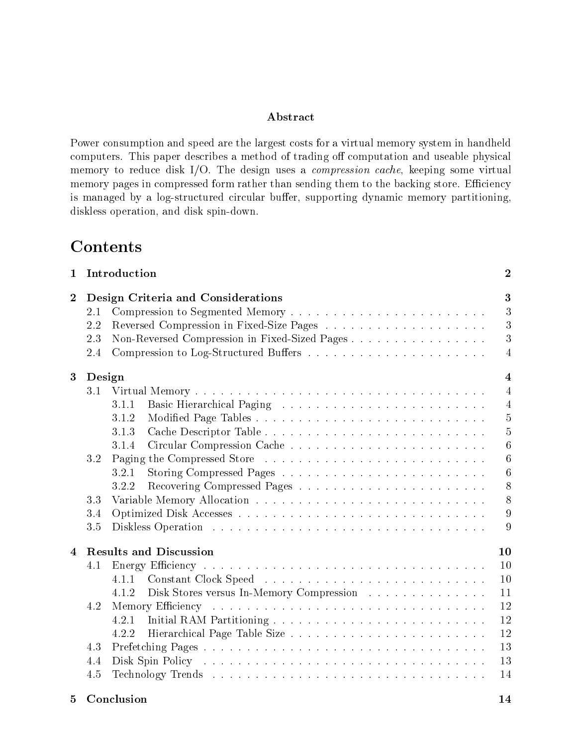### Abstract

Power consumption and speed are the largest costs for a virtual memory system in handheld computers. This paper describes a method of trading off computation and useable physical memory to reduce disk I/O. The design uses a compression cache, keeping some virtual memory pages in compressed form rather than sending them to the backing store. Efficiency is managed by a log-structured circular buffer, supporting dynamic memory partitioning, diskless operation, and disk spin-down.

## **Contents**

| $\mathbf{1}$   |        | Introduction                                      | $\boldsymbol{2}$ |
|----------------|--------|---------------------------------------------------|------------------|
| $\overline{2}$ |        | Design Criteria and Considerations                | 3                |
|                | 2.1    |                                                   | 3                |
|                | 2.2    |                                                   | 3                |
|                | 2.3    | Non-Reversed Compression in Fixed-Sized Pages     | 3                |
|                | 2.4    |                                                   | $\overline{4}$   |
| 3              | Design |                                                   | $\overline{4}$   |
|                | 3.1    |                                                   | 4                |
|                |        | 3.1.1                                             | $\overline{4}$   |
|                |        | 3.1.2                                             | $\bf 5$          |
|                |        | 3.1.3                                             | $\overline{5}$   |
|                |        | 3.1.4                                             | 6                |
|                | 3.2    |                                                   | $\boldsymbol{6}$ |
|                |        | 3.2.1                                             | 6                |
|                |        | 3.2.2                                             | 8                |
|                | 3.3    |                                                   | 8                |
|                | 3.4    |                                                   | 9                |
|                | 3.5    |                                                   | 9                |
| 4              |        | <b>Results and Discussion</b>                     | 10               |
|                | 4.1    |                                                   | 10               |
|                |        | 4.1.1                                             | 10               |
|                |        | Disk Stores versus In-Memory Compression<br>4.1.2 | 11               |
|                | 4.2    |                                                   | 12               |
|                |        | 4.2.1                                             | 12               |
|                |        | 4.2.2                                             | 12               |
|                | 4.3    |                                                   | 13               |
|                | 4.4    |                                                   | 13               |
|                | 4.5    |                                                   | 14               |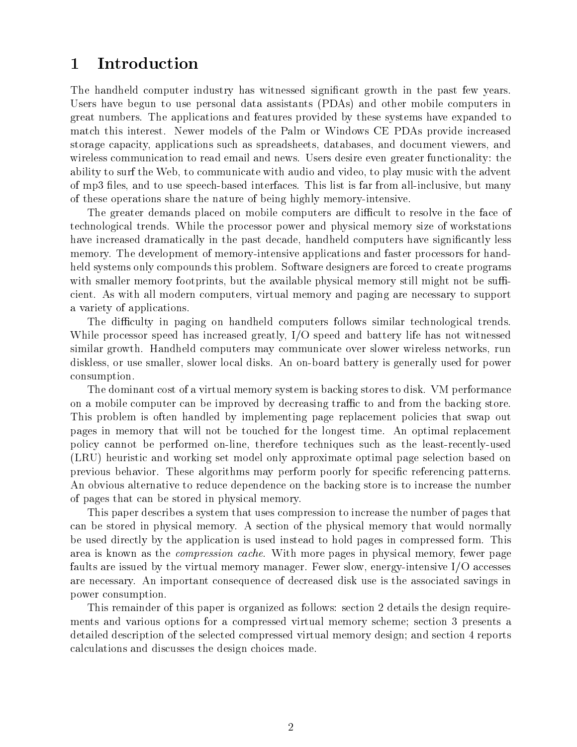The handheld computer industry has witnessed signicant growth in the past few years. Users have begun to use personal data assistants (PDAs) and other mobile computers in great numbers. The applications and features provided by these systems have expanded to match this interest. Newer models of the Palm or Windows CE PDAs provide increased storage capacity, applications such as spreadsheets, databases, and document viewers, and wireless communication to read email and news. Users desire even greater functionality: the ability to surf the Web, to communicate with audio and video, to play music with the advent of mp3 files, and to use speech-based interfaces. This list is far from all-inclusive, but many of these operations share the nature of being highly memory-intensive.

The greater demands placed on mobile computers are difficult to resolve in the face of technological trends. While the processor power and physical memory size of workstations have increased dramatically in the past decade, handheld computers have significantly less memory. The development of memory-intensive applications and faster processors for handheld systems only compounds this problem. Software designers are forced to create programs with smaller memory footprints, but the available physical memory still might not be sufficient. As with all modern computers, virtual memory and paging are necessary to support a variety of applications.

The difficulty in paging on handheld computers follows similar technological trends. While processor speed has increased greatly, I/O speed and battery life has not witnessed similar growth. Handheld computers may communicate over slower wireless networks, run diskless, or use smaller, slower local disks. An on-board battery is generally used for power consumption.

The dominant cost of a virtual memory system is backing stores to disk. VM performance on a mobile computer can be improved by decreasing traffic to and from the backing store. This problem is often handled by implementing page replacement policies that swap out pages in memory that will not be touched for the longest time. An optimal replacement policy cannot be performed on-line, therefore techniques such as the least-recently-used (LRU) heuristic and working set model only approximate optimal page selection based on previous behavior. These algorithms may perform poorly for specific referencing patterns. An obvious alternative to reduce dependence on the backing store is to increase the number of pages that can be stored in physical memory.

This paper describes a system that uses compression to increase the number of pages that can be stored in physical memory. A section of the physical memory that would normally be used directly by the application is used instead to hold pages in compressed form. This area is known as the *compression cache*. With more pages in physical memory, fewer page faults are issued by the virtual memory manager. Fewer slow, energy-intensive  $I/O$  accesses are necessary. An important consequence of decreased disk use is the associated savings in power consumption.

This remainder of this paper is organized as follows: section 2 details the design requirements and various options for a compressed virtual memory scheme; section 3 presents a detailed description of the selected compressed virtual memory design; and section 4 reports calculations and discusses the design choices made.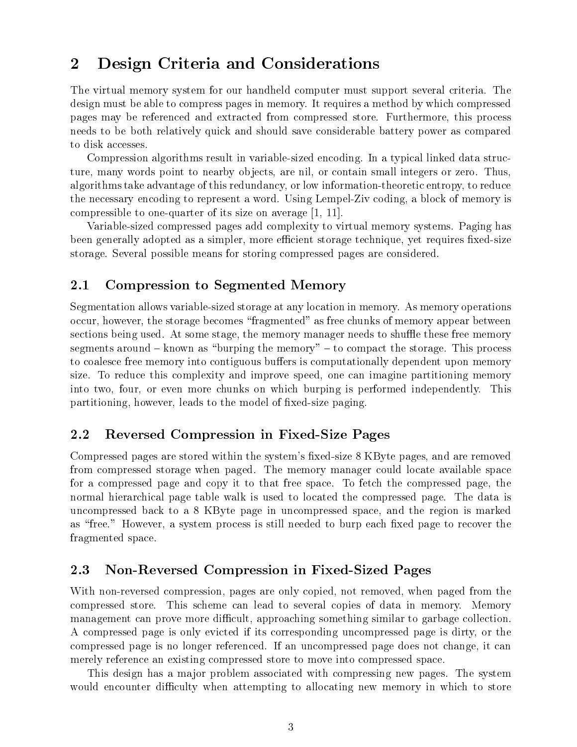#### 2Design Criteria and Considerations

The virtual memory system for our handheld computer must support several criteria. The design must be able to compress pages in memory. It requires a method by which compressed pages may be referenced and extracted from compressed store. Furthermore, this process needs to be both relatively quick and should save considerable battery power as compared to disk accesses.

Compression algorithms result in variable-sized encoding. In a typical linked data structure, many words point to nearby objects, are nil, or contain small integers or zero. Thus, algorithms take advantage of this redundancy, or low information-theoretic entropy, to reduce the necessary encoding to representaword. Using Lempel-Ziv coding, a block of memory is compressible to one-quarter of its size on average [1, 11].

Variable-sized compressed pages add complexity to virtual memory systems. Paging has been generally adopted as a simpler, more efficient storage technique, yet requires fixed-size storage. Several possible means for storing compressed pages are considered.

### 2.1 Compression to Segmented Memory

Segmentation allows variable-sized storage at any location in memory. As memory operations occur, however, the storage becomes \fragmented" as free chunks of memory appear between sections being used. At some stage, the memory manager needs to shuffle these free memory segments around  $-$  known as "burping the memory"  $-$  to compact the storage. This process to coalesce free memory into contiguous buffers is computationally dependent upon memory size. To reduce this complexity and improve speed, one can imagine partitioning memory into two, four, or even more chunks on which burping is performed independently. This partitioning, however, leads to the model of fixed-size paging.

### 2.2 Reversed Compression in Fixed-Size Pages

Compressed pages are stored within the system's fixed-size 8 KByte pages, and are removed from compressed storage when paged. The memory manager could locate available space for a compressed page and copy it to that free space. To fetch the compressed page, the normal hierarchical page table walk is used to located the compressed page. The data is uncompressed back to a 8 KByte page in uncompressed space, and the region is marked as "free." However, a system process is still needed to burp each fixed page to recover the fragmented space.

### 2.3 Non-Reversed Compression in Fixed-Sized Pages

With non-reversed compression, pages are only copied, not removed, when paged from the compressed store. This scheme can lead to several copies of data in memory. Memory management can prove more difficult, approaching something similar to garbage collection. A compressed page is only evicted if its corresponding uncompressed page is dirty, or the compressed page is no longer referenced. If an uncompressed page does not change, it can merely reference an existing compressed store to move into compressed space.

This design has a major problem associated with compressing new pages. The system would encounter difficulty when attempting to allocating new memory in which to store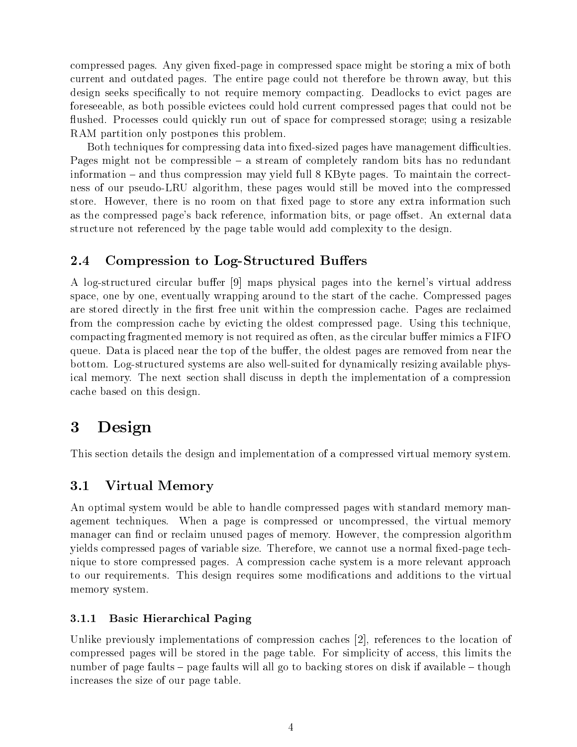compressed pages. Any given fixed-page in compressed space might be storing a mix of both current and outdated pages. The entire page could not therefore be thrown away, but this design seeks specifically to not require memory compacting. Deadlocks to evict pages are foreseeable, as both possible evictees could hold current compressed pages that could not be flushed. Processes could quickly run out of space for compressed storage; using a resizable RAM partition only postpones this problem.

Both techniques for compressing data into fixed-sized pages have management difficulties. Pages might not be compressible  $-$  a stream of completely random bits has no redundant information – and thus compression may yield full 8 KByte pages. To maintain the correctness of our pseudo-LRU algorithm, these pages would still be moved into the compressed store. However, there is no room on that fixed page to store any extra information such as the compressed page's back reference, information bits, or page offset. An external data structure not referenced by the page table would add complexity to the design.

## 2.4 Compression to Log-Structured Buffers

A log-structured circular buffer  $[9]$  maps physical pages into the kernel's virtual address space, one by one, eventually wrapping around to the start of the cache. Compressed pages are stored directly in the first free unit within the compression cache. Pages are reclaimed from the compression cache by evicting the oldest compressed page. Using this technique, compacting fragmented memory is not required as often, as the circular buffer mimics a FIFO queue. Data is placed near the top of the buffer, the oldest pages are removed from near the bottom. Log-structured systems are also well-suited for dynamically resizing available physical memory. The next section shall discuss in depth the implementation of a compression cache based on this design.

### 3Design

This section details the design and implementation of a compressed virtual memory system.

### 3.1 Virtual Memory

An optimal system would be able to handle compressed pages with standard memory management techniques. When a page is compressed or uncompressed, the virtual memory manager can find or reclaim unused pages of memory. However, the compression algorithm yields compressed pages of variable size. Therefore, we cannot use a normal fixed-page technique to store compressed pages. A compression cache system is a more relevant approach to our requirements. This design requires some modifications and additions to the virtual memory system.

### 3.1.1 Basic Hierarchical Paging

Unlike previously implementations of compression caches [2], references to the location of compressed pages will be stored in the page table. For simplicity of access, this limits the number of page faults  $-$  page faults will all go to backing stores on disk if available  $-$  though increases the size of our page table.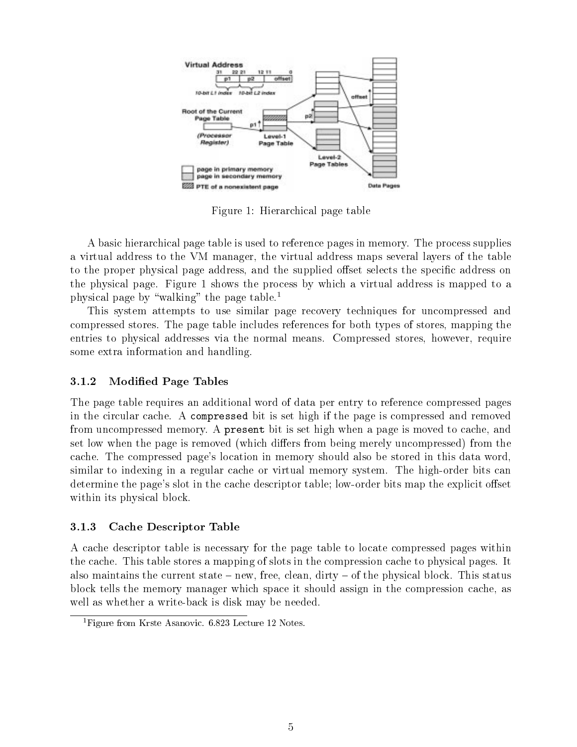

Figure 1: Hierarchical page table

A basic hierarchical page table is used to reference pages in memory. The process supplies a virtual address to the VM manager, the virtual address maps several layers of the table to the proper physical page address, and the supplied offset selects the specific address on the physical page. Figure 1 shows the process by which a virtual address is mapped to a physical page by \walking" the page table.1

This system attempts to use similar page recovery techniques for uncompressed and compressed stores. The page table includes references for both types of stores, mapping the entries to physical addresses via the normal means. Compressed stores, however, require some extra information and handling.

#### 3.1.2 3.1.2 Modied Page Tables

The page table requires an additional word of data per entry to reference compressed pages in the circular cache. A compressed bit is set high if the page is compressed and removed from uncompressed memory. A present bit is set high when a page is moved to cache, and set low when the page is removed (which differs from being merely uncompressed) from the cache. The compressed page's location in memory should also be stored in this data word, similar to indexing in a regular cache or virtual memory system. The high-order bits can determine the page's slot in the cache descriptor table; low-order bits map the explicit offset within its physical block.

#### $3.1.3$ 3.1.3 Cache Descriptor Table

A cache descriptor table is necessary for the page table to locate compressed pages within the cache. This table stores a mapping of slots in the compression cache to physical pages. It also maintains the current state  $-$  new, free, clean, dirty  $-$  of the physical block. This status block tells the memory manager which space it should assign in the compression cache, as well as whether a write-back is disk may be needed.

<sup>&</sup>lt;sup>1</sup>Figure from Krste Asanovic. 6.823 Lecture 12 Notes.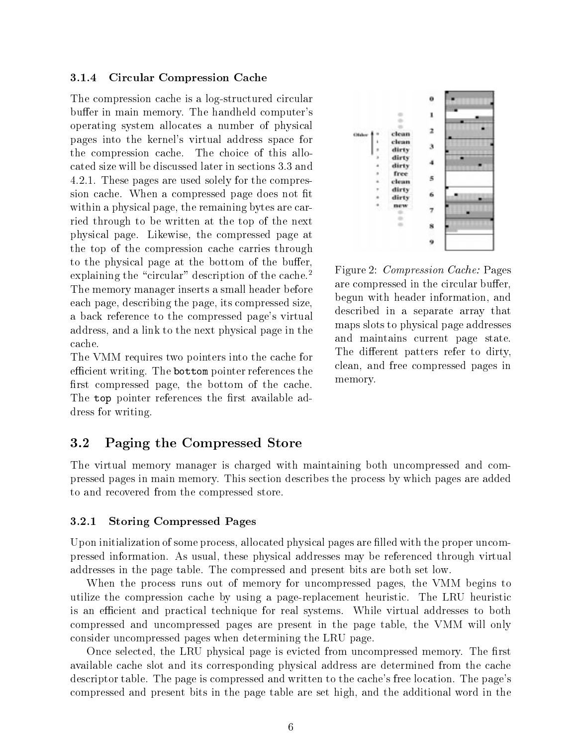### 3.1.4 Circular Compression Cache

The compression cache is a log-structured circular buffer in main memory. The handheld computer's operating system allocates a number of physical pages into the kernel's virtual address space for the compression cache. The choice of this allocated size will be discussed later in sections 3.3 and 4.2.1. These pages are used solely for the compression cache. When a compressed page does not fit within a physical page, the remaining bytes are carried through to be written at the top of the next physical page. Likewise, the compressed page at the top of the compression cache carries through to the physical page at the bottom of the buffer, explaining the "circular" description of the cache.<sup>2</sup> The memory manager inserts a small header before each page, describing the page, its compressed size, a back reference to the compressed page's virtual address, and a link to the next physical page in the cache.

The VMM requires two pointers into the cache for efficient writing. The bottom pointer references the first compressed page, the bottom of the cache. The top pointer references the first available address for writing.



Figure 2: Compression Cache: Pages are compressed in the circular buffer begun with header information, and described in a separate array that maps slots to physical page addresses and maintains current page state. The different patters refer to dirty, clean, and free compressed pages in memory.

### 3.2 Paging the Compressed Store

The virtual memory manager is charged with maintaining both uncompressed and compressed pages in main memory. This section describes the process by which pages are added to and recovered from the compressed store.

### 3.2.1 Storing Compressed Pages

Upon initialization of some process, allocated physical pages are filled with the proper uncompressed information. As usual, these physical addresses may be referenced through virtual addresses in the page table. The compressed and present bits are both set low.

When the process runs out of memory for uncompressed pages, the VMM begins to utilize the compression cache by using a page-replacement heuristic. The LRU heuristic is an efficient and practical technique for real systems. While virtual addresses to both compressed and uncompressed pages are present in the page table, the VMM will only consider uncompressed pages when determining the LRU page.

Once selected, the LRU physical page is evicted from uncompressed memory. The first available cache slot and its corresponding physical address are determined from the cache descriptor table. The page is compressed and written to the cache's free location. The page's compressed and present bits in the page table are set high, and the additional word in the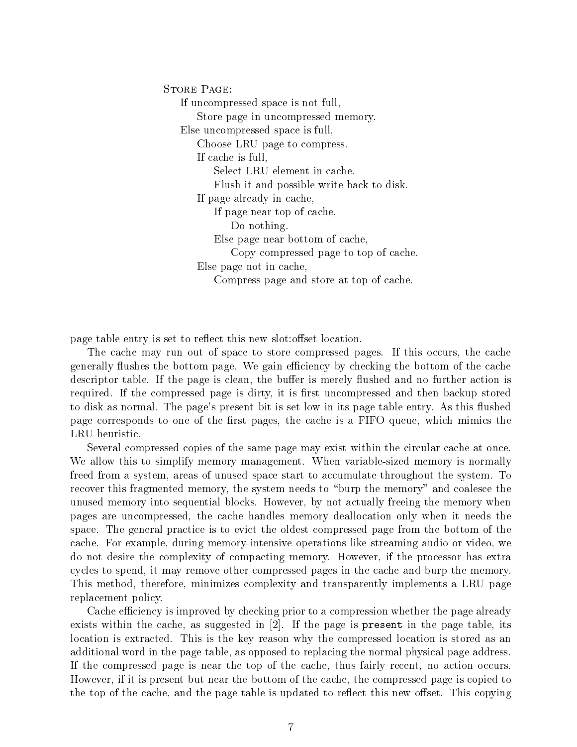If uncompressed space is not full, Store page in uncompressed memory. Else uncompressed space is full, Choose LRU page to compress. If cache is full, Select LRU element in cache. Flush it and possible write back to disk. If page already in cache, If page near top of cache, Do nothing. Else page near bottom of cache, Copy compressed page to top of cache. Else page not in cache, Compress page and store at top of cache.

page table entry is set to reflect this new slot: offset location.

The cache may run out of space to store compressed pages. If this occurs, the cache generally flushes the bottom page. We gain efficiency by checking the bottom of the cache descriptor table. If the page is clean, the buffer is merely flushed and no further action is required. If the compressed page is dirty, it is first uncompressed and then backup stored to disk as normal. The page's present bit is set low in its page table entry. As this flushed page corresponds to one of the first pages, the cache is a FIFO queue, which mimics the LRU heuristic.

Several compressed copies of the same page may exist within the circular cache at once. We allow this to simplify memory management. When variable-sized memory is normally freed from a system, areas of unused space start to accumulate throughout the system. To recover this fragmented memory, the system needs to "burp the memory" and coalesce the unused memory into sequential blocks. However, by not actually freeing the memory when pages are uncompressed, the cache handles memory deallocation only when it needs the space. The general practice is to evict the oldest compressed page from the bottom of the cache. For example, during memory-intensive operations like streaming audio or video, we do not desire the complexity of compacting memory. However, if the processor has extra cycles to spend, it may remove other compressed pages in the cache and burp the memory. This method, therefore, minimizes complexity and transparently implements a LRU page replacement policy.

Cache efficiency is improved by checking prior to a compression whether the page already exists within the cache, as suggested in [2]. If the page is present in the page table, its location is extracted. This is the key reason why the compressed location is stored as an additional word in the page table, as opposed to replacing the normal physical page address. If the compressed page is near the top of the cache, thus fairly recent, no action occurs. However, if it is present but near the bottom of the cache, the compressed page is copied to the top of the cache, and the page table is updated to reflect this new offset. This copying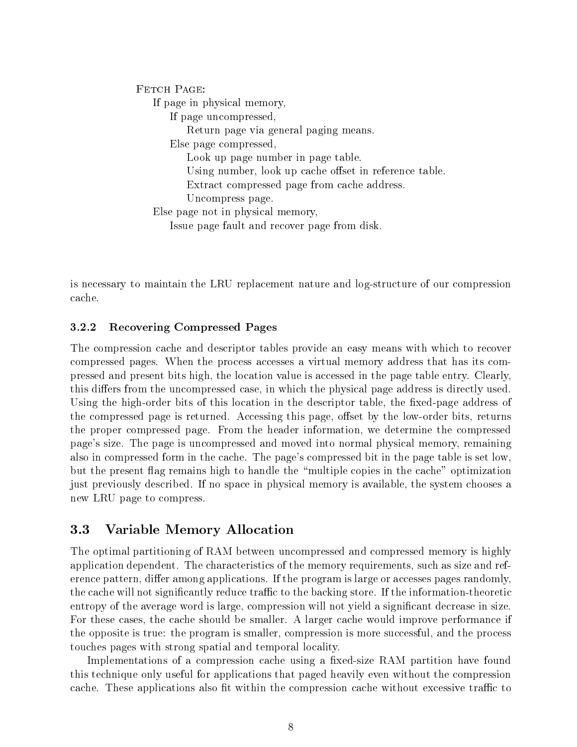If page in physical memory, If page uncompressed, Return page via general paging means. Else page compressed, Look up page number in page table. Using number, look up cache offset in reference table. Extract compressed page from cache address. Uncompress page. Else page not in physical memory, Issue page fault and recover page from disk.

is necessary to maintain the LRU replacement nature and log-structure of our compression cache.

### 3.2.2 Recovering Compressed Pages

The compression cache and descriptor tables provide an easy means with which to recover compressed pages. When the process accesses a virtual memory address that has its compressed and present bits high, the location value is accessed in the page table entry. Clearly, this differs from the uncompressed case, in which the physical page address is directly used. Using the high-order bits of this location in the descriptor table, the fixed-page address of the compressed page is returned. Accessing this page, offset by the low-order bits, returns the proper compressed page. From the header information, we determine the compressed page's size. The page is uncompressed and moved into normal physical memory, remaining also in compressed form in the cache. The page's compressed bit in the page table is set low, but the present flag remains high to handle the "multiple copies in the cache" optimization just previously described. If no space in physical memory is available, the system chooses a new LRU page to compress.

#### 3.3 Variable Memory Allocation

The optimal partitioning of RAM between uncompressed and compressed memory is highly application dependent. The characteristics of the memory requirements, such as size and reference pattern, differ among applications. If the program is large or accesses pages randomly, the cache will not significantly reduce traffic to the backing store. If the information-theoretic entropy of the average word is large, compression will not yield a signicant decrease in size. For these cases, the cache should be smaller. A larger cache would improve performance if the opposite is true: the program is smaller, compression is more successful, and the process touches pages with strong spatial and temporal locality.

Implementations of a compression cache using a fixed-size RAM partition have found this technique only useful for applications that paged heavily even without the compression cache. These applications also fit within the compression cache without excessive traffic to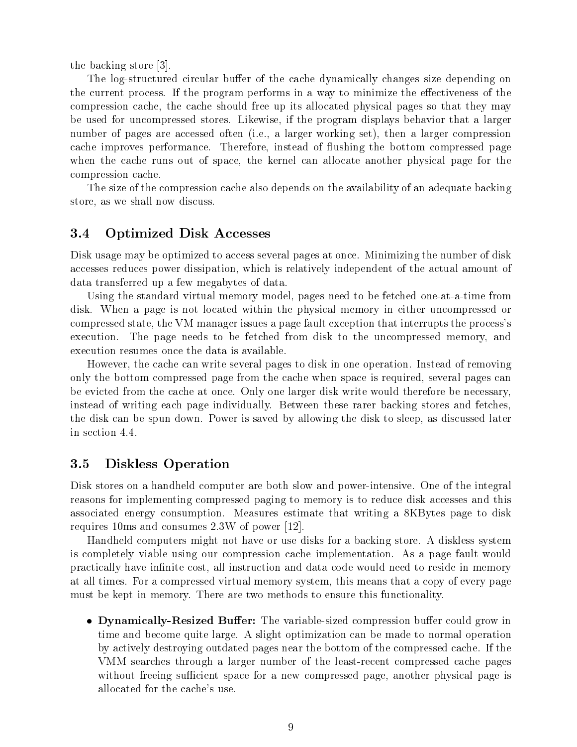the backing store [3].

The log-structured circular buffer of the cache dynamically changes size depending on the current process. If the program performs in a way to minimize the effectiveness of the compression cache, the cache should free up its allocated physical pages so that they may be used for uncompressed stores. Likewise, if the program displays behavior that a larger number of pages are accessed often (i.e., a larger working set), then a larger compression cache improves performance. Therefore, instead of flushing the bottom compressed page when the cache runs out of space, the kernel can allocate another physical page for the compression cache.

The size of the compression cache also depends on the availability of an adequate backing store, as we shall now discuss.

### 3.4 Optimized Disk Accesses

Disk usage may be optimized to access several pages at once. Minimizing the number of disk accesses reduces power dissipation, which is relatively independent of the actual amount of data transferred up a few megabytes of data.

Using the standard virtual memory model, pages need to be fetched one-at-a-time from disk. When a page is not located within the physical memory in either uncompressed or compressed state, the VM manager issues a page fault exception that interrupts the process's execution. The page needs to be fetched from disk to the uncompressed memory, and execution resumes once the data is available.

However, the cache can write several pages to disk in one operation. Instead of removing only the bottom compressed page from the cache when space is required, several pages can be evicted from the cache at once. Only one larger disk write would therefore be necessary, instead of writing each page individually. Between these rarer backing stores and fetches, the disk can be spun down. Power is saved by allowing the disk to sleep, as discussed later in section 4.4.

#### 3.5 3.5 Diskless Operation

Disk stores on a handheld computer are both slow and power-intensive. One of the integral reasons for implementing compressed paging to memory is to reduce disk accesses and this associated energy consumption. Measures estimate that writing a 8KBytes page to disk requires 10ms and consumes 2.3W of power [12].

Handheld computers might not have or use disks for a backing store. A diskless system is completely viable using our compression cache implementation. As a page fault would practically have infinite cost, all instruction and data code would need to reside in memory at all times. For a compressed virtual memory system, this means that a copy of every page must be kept in memory. There are two methods to ensure this functionality.

 $D_{\rm c}$  -resizes a variable-sized bursts and variable-sized compression but size compared grow in  $\alpha$ time and become quite large. A slight optimization can be made to normal operation by actively destroying outdated pages near the bottom of the compressed cache. If the VMM searches through a larger number of the least-recent compressed cache pages without freeing sufficient space for a new compressed page, another physical page is allocated for the cache's use.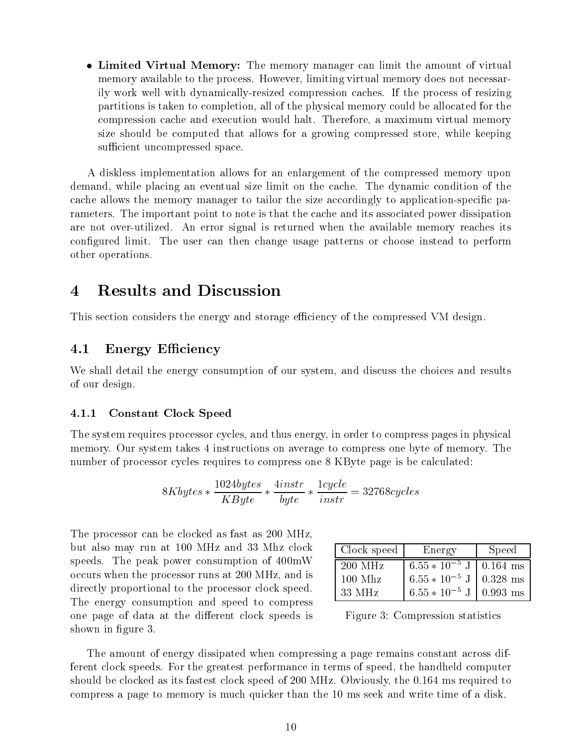Limited Virtual Memory: The memory manager can limit the amount of virtual memory available to the process. However, limiting virtual memory does not necessarily work well with dynamically-resized compression caches. If the process of resizing partitions is taken to completion, all of the physical memory could be allocated for the compression cache and execution would halt. Therefore, a maximum virtual memory size should be computed that allows for a growing compressed store, while keeping sufficient uncompressed space.

A diskless implementation allows for an enlargement of the compressed memory upon demand, while placing an eventual size limit on the cache. The dynamic condition of the cache allows the memory manager to tailor the size accordingly to application-specific parameters. The important point to note is that the cache and its associated power dissipation are not over-utilized. An error signal is returned when the available memory reaches its configured limit. The user can then change usage patterns or choose instead to perform other operations.

## $\overline{\mathcal{A}}$

This section considers the energy and storage efficiency of the compressed VM design.

### 4.1 Energy Efficiency

We shall detail the energy consumption of our system, and discuss the choices and results of our design.

### 4.1.1 Constant Clock Speed

The system requires processor cycles, and thus energy, in order to compress pages in physical memory. Our system takes 4 instructions on average to compress one byte of memory. The number of processor cycles requires to compress one 8 KByte page is be calculated:

$$
8Kbytes * \frac{1024bytes}{KByte} * \frac{4instr}{byte} * \frac{1cycle}{instr} = 32768 cycles
$$

The processor can be clocked as fast as 200 MHz, but also may run at 100 MHz and 33 Mhz clock speeds. The peak power consumption of 400mW occurs when the processor runs at 200 MHz, and is directly proportional to the processor clock speed. The energy consumption and speed to compress one page of data at the different clock speeds is shown in figure 3.

| Clock speed | Energy                              | Speed |
|-------------|-------------------------------------|-------|
| 200 MHz     | $6.55 * 10^{-5}$ J   0.164 ms       |       |
| $100$ Mhz   | $6.55 * 10^{-5}$ J $\vert$ 0.328 ms |       |
| l 33 MHz    | $6.55 * 10^{-5}$ J 0.993 ms         |       |

Figure 3: Compression statistics

The amount of energy dissipated when compressing a page remains constant across different clock speeds. For the greatest performance in terms of speed, the handheld computer should be clocked as its fastest clock speed of 200 MHz. Obviously, the 0.164 ms required to compress a page to memory is much quicker than the 10 ms seek and write time of a disk.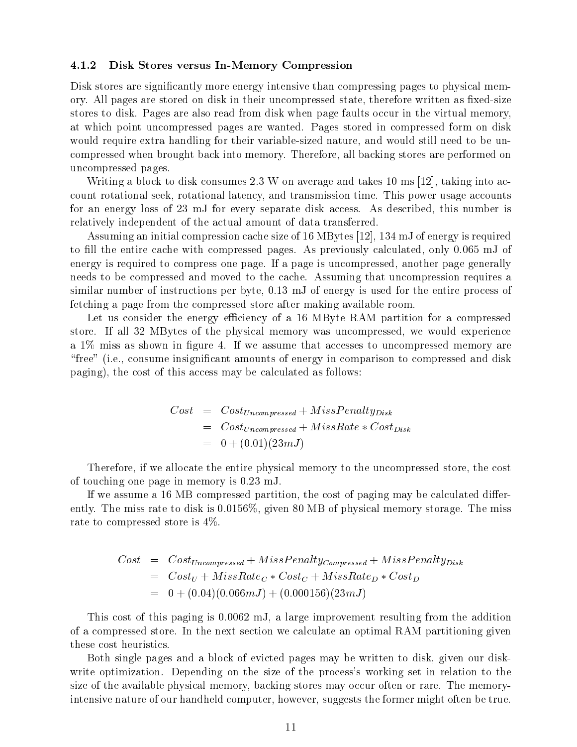#### Disk Stores versus In-Memory Compression 4.1.2

Disk stores are signicantly more energy intensive than compressing pages to physical memory. All pages are stored on disk in their uncompressed state, therefore written as fixed-size stores to disk. Pages are also read from disk when page faults occur in the virtual memory, at which point uncompressed pages are wanted. Pages stored in compressed form on disk would require extra handling for their variable-sized nature, and would still need to be uncompressed when brought back into memory. Therefore, all backing stores are performed on uncompressed pages.

Writing a block to disk consumes 2.3 W on average and takes 10 ms [12], taking into account rotational seek, rotational latency, and transmission time. This power usage accounts for an energy loss of 23 mJ for every separate disk access. As described, this number is relatively independent of the actual amount of data transferred.

Assuming an initial compression cache size of 16 MBytes [12], 134 mJ of energy is required to fill the entire cache with compressed pages. As previously calculated, only  $0.065$  mJ of energy is required to compress one page. If a page is uncompressed, another page generally needs to be compressed and moved to the cache. Assuming that uncompression requires a similar number of instructions per byte, 0.13 mJ of energy is used for the entire process of fetching a page from the compressed store after making available room.

Let us consider the energy efficiency of a 16 MByte RAM partition for a compressed store. If all 32 MBytes of the physical memory was uncompressed, we would experience a  $1\%$  miss as shown in figure 4. If we assume that accesses to uncompressed memory are "free" (i.e., consume insignificant amounts of energy in comparison to compressed and disk paging), the cost of this access may be calculated as follows:

$$
Cost = Cost_{Uncompressed} + MissPenalty_{Disk}
$$
  
= Cost\_{Uncompressed} + MissRate \* Cost\_{Disk}  
= 0 + (0.01)(23*mJ*)

Therefore, if we allocate the entire physical memory to the uncompressed store, the cost of touching one page in memory is 0.23 mJ.

If we assume a 16 MB compressed partition, the cost of paging may be calculated differently. The miss rate to disk is 0.0156%, given 80 MB of physical memory storage. The miss rate to compressed store is 4%.

$$
Cost = Cost_{Uncompressed} + MissPenalty_{Compressed} + MissPenalty_{Disk}
$$
  
= Cost<sub>U</sub> + MissRate<sub>C</sub> \* Cost<sub>C</sub> + MissRate<sub>D</sub> \* Cost<sub>D</sub>  
= 0 + (0.04)(0.066mJ) + (0.000156)(23mJ)

This cost of this paging is 0.0062 mJ, a large improvement resulting from the addition of a compressed store. In the next section we calculate an optimal RAM partitioning given these cost heuristics.

Both single pages and a block of evicted pages may be written to disk, given our diskwrite optimization. Depending on the size of the process's working set in relation to the size of the available physical memory, backing stores may occur often or rare. The memoryintensive nature of our handheld computer, however, suggests the former might often be true.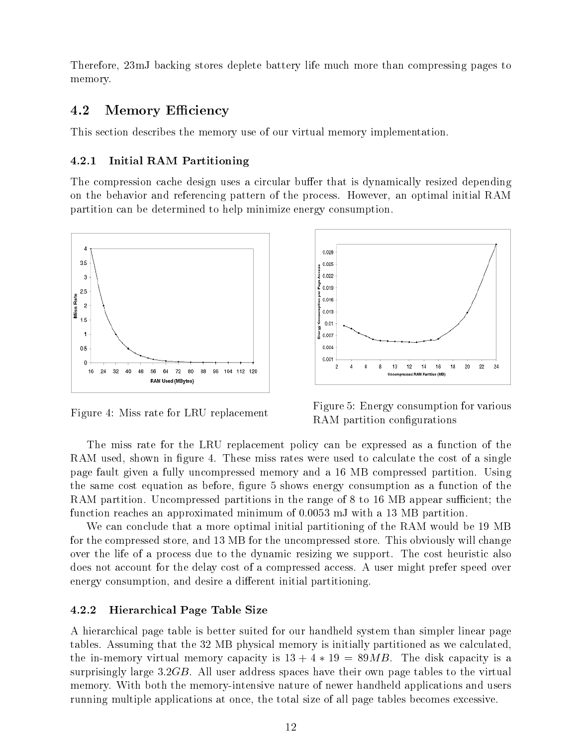Therefore, 23mJ backing stores deplete battery life much more than compressing pages to memory.

#### 4.2 Memory Efficiency

This section describes the memory use of our virtual memory implementation.

### 4.2.1 Initial RAM Partitioning

The compression cache design uses a circular buffer that is dynamically resized depending on the behavior and referencing pattern of the process. However, an optimal initial RAM partition can be determined to help minimize energy consumption.





Figure 4: Miss rate for LRU replacement Figure 5: Energy consumption for various RAM partition configurations

The miss rate for the LRU replacement policy can be expressed as a function of the RAM used, shown in figure 4. These miss rates were used to calculate the cost of a single page fault given a fully uncompressed memory and a 16 MB compressed partition. Using the same cost equation as before, figure 5 shows energy consumption as a function of the RAM partition. Uncompressed partitions in the range of 8 to 16 MB appear sufficient; the function reaches an approximated minimum of 0.0053 mJ with a 13 MB partition.

We can conclude that a more optimal initial partitioning of the RAM would be 19 MB for the compressed store, and 13 MB for the uncompressed store. This obviously will change over the life of a process due to the dynamic resizing we support. The cost heuristic also does not account for the delay cost of a compressed access. A user might prefer speed over energy consumption, and desire a different initial partitioning.

### 4.2.2 Hierarchical Page Table Size

A hierarchical page table is better suited for our handheld system than simpler linear page tables. Assuming that the 32 MB physical memory is initially partitioned as we calculated, the in-memory virtual memory capacity is  $13 + 4 * 19 = 89MB$ . The disk capacity is a surprisingly large 3:2GB. All user address spaces have their own page tables to the virtual memory. With both the memory-intensive nature of newer handheld applications and users running multiple applications at once, the total size of all page tables becomes excessive.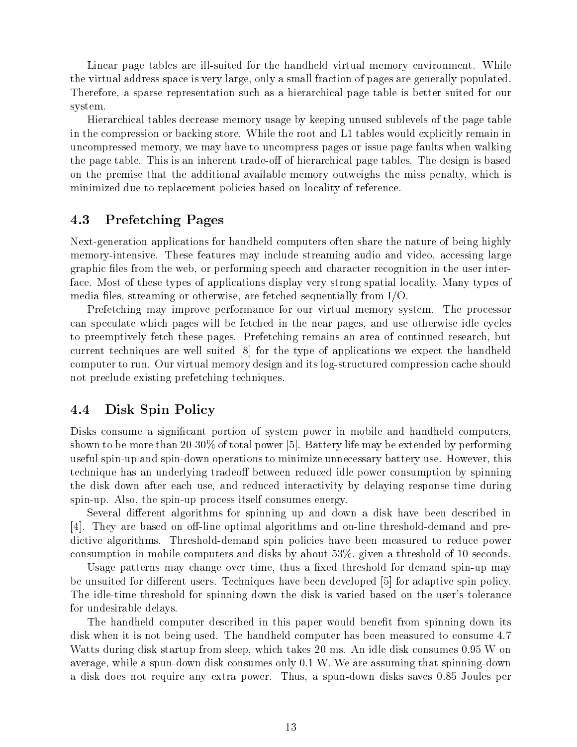Linear page tables are ill-suited for the handheld virtual memory environment. While the virtual address space is very large, only a small fraction of pages are generally populated. Therefore, a sparse representation such as a hierarchical page table is better suited for our system.

Hierarchical tables decrease memory usage by keeping unused sublevels of the page table in the compression or backing store. While the root and L1 tables would explicitly remain in uncompressed memory, we may have to uncompress pages or issue page faults when walking the page table. This is an inherent trade-off of hierarchical page tables. The design is based on the premise that the additional available memory outweighs the miss penalty, which is minimized due to replacement policies based on locality of reference.

### 4.3 Prefetching Pages

Next-generation applications for handheld computers often share the nature of being highly memory-intensive. These features may include streaming audio and video, accessing large graphic files from the web, or performing speech and character recognition in the user interface. Most of these types of applications display very strong spatial locality. Many types of media files, streaming or otherwise, are fetched sequentially from  $I/O$ .

Prefetching may improve performance for our virtual memory system. The processor can speculate which pages will be fetched in the near pages, and use otherwise idle cycles to preemptively fetch these pages. Prefetching remains an area of continued research, but current techniques are well suited [8] for the type of applications we expect the handheld computer to run. Our virtual memory design and its log-structured compression cache should not preclude existing prefetching techniques.

### 4.4 Disk Spin Policy

Disks consume a signicant portion of system power in mobile and handheld computers, shown to be more than 20-30% of total power [5]. Battery life may be extended by performing useful spin-up and spin-down operations to minimize unnecessary battery use. However, this technique has an underlying tradeoff between reduced idle power consumption by spinning the disk down after each use, and reduced interactivity by delaying response time during spin-up. Also, the spin-up process itself consumes energy.

Several different algorithms for spinning up and down a disk have been described in  $[4]$ . They are based on off-line optimal algorithms and on-line threshold-demand and predictive algorithms. Threshold-demand spin policies have been measured to reduce power consumption in mobile computers and disks by about 53%, given a threshold of 10 seconds.

Usage patterns may change over time, thus a fixed threshold for demand spin-up may be unsuited for different users. Techniques have been developed [5] for adaptive spin policy. The idle-time threshold for spinning down the disk is varied based on the user's tolerance for undesirable delays.

The handheld computer described in this paper would benefit from spinning down its disk when it is not being used. The handheld computer has been measured to consume 4.7 Watts during disk startup from sleep, which takes 20 ms. An idle disk consumes 0.95 W on average, while a spun-down disk consumes only 0.1 W. We are assuming that spinning-down a disk does not require any extra power. Thus, a spun-down disks saves 0.85 Joules per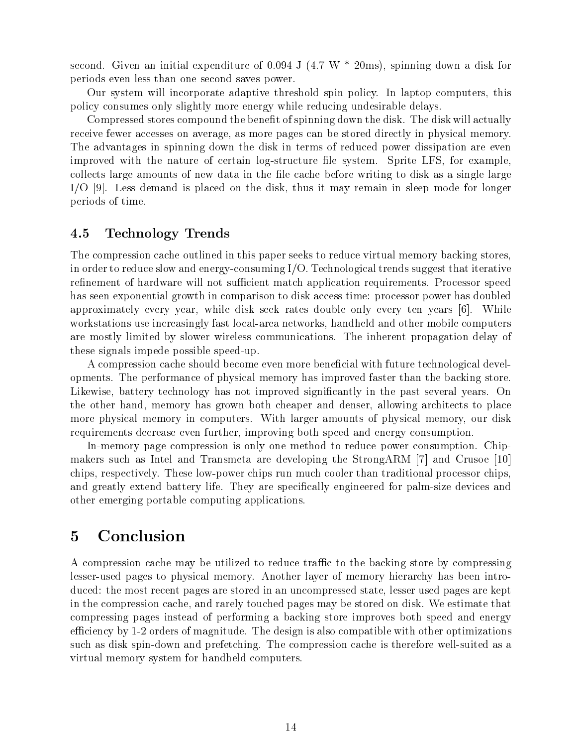second. Given an initial expenditure of 0.094 J  $(4.7 \text{ W} * 20 \text{ ms})$ , spinning down a disk for periods even less than one second saves power.

Our system will incorporate adaptive threshold spin policy. In laptop computers, this policy consumes only slightly more energy while reducing undesirable delays.

Compressed stores compound the benefit of spinning down the disk. The disk will actually receive fewer accesses on average, as more pages can be stored directly in physical memory. The advantages in spinning down the disk in terms of reduced power dissipation are even improved with the nature of certain log-structure file system. Sprite LFS, for example, collects large amounts of new data in the file cache before writing to disk as a single large I/O [9]. Less demand is placed on the disk, thus it may remain in sleep mode for longer periods of time.

### 4.5 Technology Trends

The compression cache outlined in this paper seeks to reduce virtual memory backing stores, in order to reduce slow and energy-consuming  $I/O$ . Technological trends suggest that iterative refinement of hardware will not sufficient match application requirements. Processor speed has seen exponential growth in comparison to disk access time: processor power has doubled approximately every year, while disk seek rates double only every ten years [6]. While workstations use increasingly fast local-area networks, handheld and other mobile computers are mostly limited by slower wireless communications. The inherent propagation delay of these signals impede possible speed-up.

A compression cache should become even more beneficial with future technological developments. The performance of physical memory has improved faster than the backing store. Likewise, battery technology has not improved significantly in the past several years. On the other hand, memory has grown both cheaper and denser, allowing architects to place more physical memory in computers. With larger amounts of physical memory, our disk requirements decrease even further, improving both speed and energy consumption.

In-memory page compression is only one method to reduce power consumption. Chipmakers such as Intel and Transmeta are developing the StrongARM [7] and Crusoe [10] chips, respectively. These low-power chips run much cooler than traditional processor chips, and greatly extend battery life. They are specifically engineered for palm-size devices and other emerging portable computing applications.

#### 5Conclusion

A compression cache may be utilized to reduce traffic to the backing store by compressing lesser-used pages to physical memory. Another layer of memory hierarchy has been introduced: the most recent pages are stored in an uncompressed state, lesser used pages are kept in the compression cache, and rarely touched pages may be stored on disk. We estimate that compressing pages instead of performing a backing store improves both speed and energy efficiency by 1-2 orders of magnitude. The design is also compatible with other optimizations such as disk spin-down and prefetching. The compression cache is therefore well-suited as a virtual memory system for handheld computers.